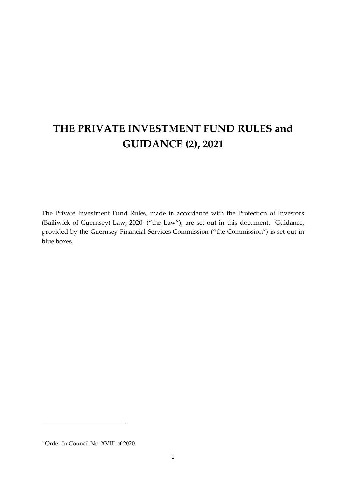# **THE PRIVATE INVESTMENT FUND RULES and GUIDANCE (2), 2021**

The Private Investment Fund Rules, made in accordance with the Protection of Investors (Bailiwick of Guernsey) Law, 2020<sup>1</sup> ("the Law"), are set out in this document. Guidance, provided by the Guernsey Financial Services Commission ("the Commission") is set out in blue boxes.

<sup>1</sup> Order In Council No. XVIII of 2020.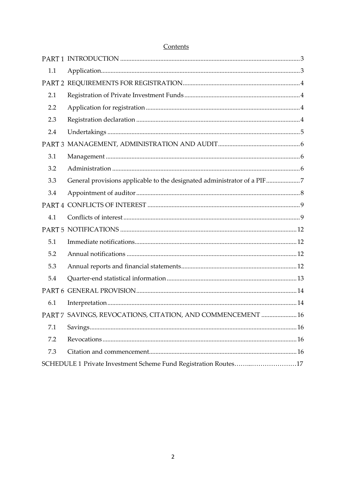| 1.1 |                                                                         |  |
|-----|-------------------------------------------------------------------------|--|
|     |                                                                         |  |
| 2.1 |                                                                         |  |
| 2.2 |                                                                         |  |
| 2.3 |                                                                         |  |
| 2.4 |                                                                         |  |
|     |                                                                         |  |
| 3.1 |                                                                         |  |
| 3.2 |                                                                         |  |
| 3.3 | General provisions applicable to the designated administrator of a PIF7 |  |
| 3.4 |                                                                         |  |
|     |                                                                         |  |
|     |                                                                         |  |
| 4.1 |                                                                         |  |
|     |                                                                         |  |
| 5.1 |                                                                         |  |
| 5.2 |                                                                         |  |
| 5.3 |                                                                         |  |
| 5.4 |                                                                         |  |
|     |                                                                         |  |
| 6.1 |                                                                         |  |
|     | PART 7 SAVINGS, REVOCATIONS, CITATION, AND COMMENCEMENT  16             |  |
| 7.1 |                                                                         |  |
| 7.2 |                                                                         |  |
| 7.3 |                                                                         |  |

### Contents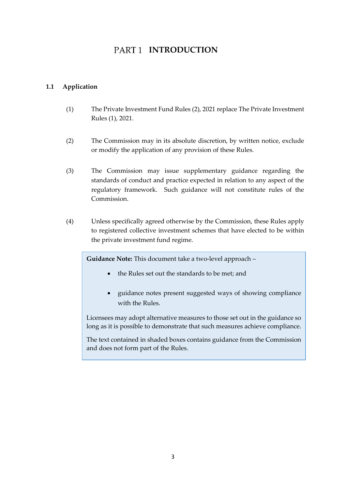## PART<sub>1</sub> INTRODUCTION

#### <span id="page-2-1"></span><span id="page-2-0"></span>**1.1 Application**

- (1) The Private Investment Fund Rules (2), 2021 replace The Private Investment Rules (1), 2021.
- (2) The Commission may in its absolute discretion, by written notice, exclude or modify the application of any provision of these Rules.
- (3) The Commission may issue supplementary guidance regarding the standards of conduct and practice expected in relation to any aspect of the regulatory framework. Such guidance will not constitute rules of the Commission.
- (4) Unless specifically agreed otherwise by the Commission, these Rules apply to registered collective investment schemes that have elected to be within the private investment fund regime.

**Guidance Note:** This document take a two-level approach –

- the Rules set out the standards to be met; and
- guidance notes present suggested ways of showing compliance with the Rules.

Licensees may adopt alternative measures to those set out in the guidance so long as it is possible to demonstrate that such measures achieve compliance.

The text contained in shaded boxes contains guidance from the Commission and does not form part of the Rules.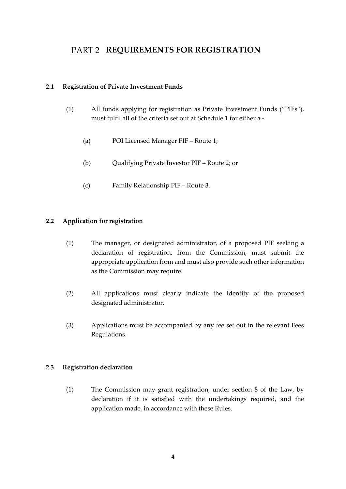## <span id="page-3-0"></span>PART 2 REQUIREMENTS FOR REGISTRATION

#### <span id="page-3-1"></span>**2.1 Registration of Private Investment Funds**

- (1) All funds applying for registration as Private Investment Funds ("PIFs"), must fulfil all of the criteria set out at Schedule 1 for either a -
	- (a) POI Licensed Manager PIF Route 1;
	- (b) Qualifying Private Investor PIF Route 2; or
	- (c) Family Relationship PIF Route 3.

#### <span id="page-3-2"></span>**2.2 Application for registration**

- (1) The manager, or designated administrator, of a proposed PIF seeking a declaration of registration, from the Commission, must submit the appropriate application form and must also provide such other information as the Commission may require.
- (2) All applications must clearly indicate the identity of the proposed designated administrator.
- (3) Applications must be accompanied by any fee set out in the relevant Fees Regulations.

#### <span id="page-3-3"></span>**2.3 Registration declaration**

(1) The Commission may grant registration, under section 8 of the Law, by declaration if it is satisfied with the undertakings required, and the application made, in accordance with these Rules.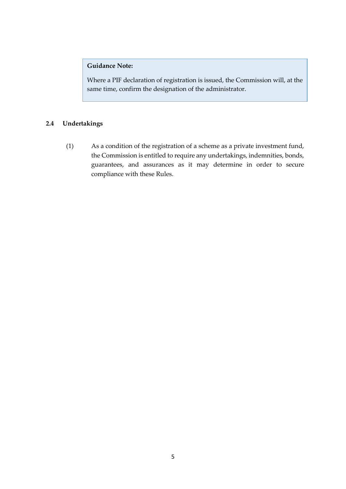#### **Guidance Note:**

Where a PIF declaration of registration is issued, the Commission will, at the same time, confirm the designation of the administrator.

#### <span id="page-4-0"></span>**2.4 Undertakings**

(1) As a condition of the registration of a scheme as a private investment fund, the Commission is entitled to require any undertakings, indemnities, bonds, guarantees, and assurances as it may determine in order to secure compliance with these Rules.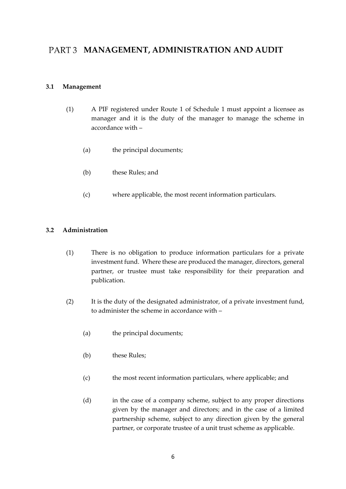## <span id="page-5-0"></span>PART 3 MANAGEMENT, ADMINISTRATION AND AUDIT

#### <span id="page-5-1"></span>**3.1 Management**

- (1) A PIF registered under Route 1 of Schedule 1 must appoint a licensee as manager and it is the duty of the manager to manage the scheme in accordance with –
	- (a) the principal documents;
	- (b) these Rules; and
	- (c) where applicable, the most recent information particulars.

#### <span id="page-5-2"></span>**3.2 Administration**

- (1) There is no obligation to produce information particulars for a private investment fund. Where these are produced the manager, directors, general partner, or trustee must take responsibility for their preparation and publication.
- (2) It is the duty of the designated administrator, of a private investment fund, to administer the scheme in accordance with –
	- (a) the principal documents;
	- (b) these Rules;
	- (c) the most recent information particulars, where applicable; and
	- (d) in the case of a company scheme, subject to any proper directions given by the manager and directors; and in the case of a limited partnership scheme, subject to any direction given by the general partner, or corporate trustee of a unit trust scheme as applicable.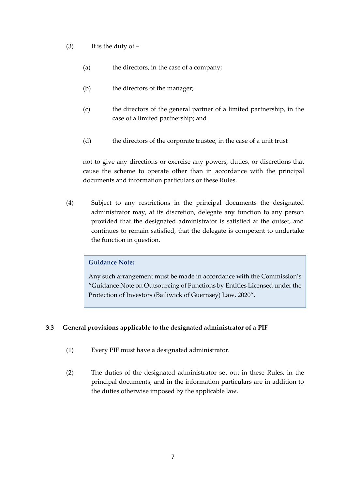- (3) It is the duty of  $-$ 
	- (a) the directors, in the case of a company;
	- (b) the directors of the manager;
	- (c) the directors of the general partner of a limited partnership, in the case of a limited partnership; and
	- (d) the directors of the corporate trustee, in the case of a unit trust

not to give any directions or exercise any powers, duties, or discretions that cause the scheme to operate other than in accordance with the principal documents and information particulars or these Rules.

(4) Subject to any restrictions in the principal documents the designated administrator may, at its discretion, delegate any function to any person provided that the designated administrator is satisfied at the outset, and continues to remain satisfied, that the delegate is competent to undertake the function in question.

#### **Guidance Note:**

Any such arrangement must be made in accordance with the Commission's "Guidance Note on Outsourcing of Functions by Entities Licensed under the Protection of Investors (Bailiwick of Guernsey) Law, 2020".

#### <span id="page-6-0"></span>**3.3 General provisions applicable to the designated administrator of a PIF**

- (1) Every PIF must have a designated administrator.
- (2) The duties of the designated administrator set out in these Rules, in the principal documents, and in the information particulars are in addition to the duties otherwise imposed by the applicable law.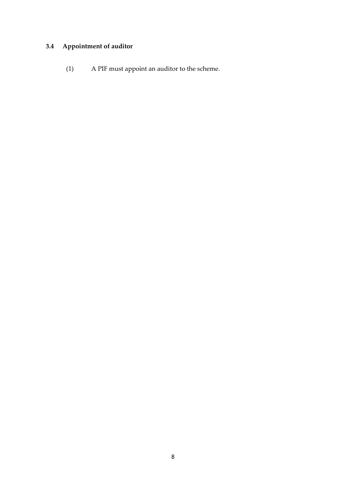## <span id="page-7-0"></span>**3.4 Appointment of auditor**

(1) A PIF must appoint an auditor to the scheme.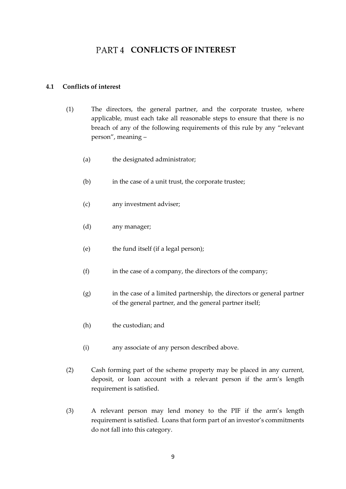## **PART 4 CONFLICTS OF INTEREST**

#### <span id="page-8-1"></span><span id="page-8-0"></span>**4.1 Conflicts of interest**

- (1) The directors, the general partner, and the corporate trustee, where applicable, must each take all reasonable steps to ensure that there is no breach of any of the following requirements of this rule by any "relevant person", meaning –
	- (a) the designated administrator;
	- (b) in the case of a unit trust, the corporate trustee;
	- (c) any investment adviser;
	- (d) any manager;
	- (e) the fund itself (if a legal person);
	- (f) in the case of a company, the directors of the company;
	- (g) in the case of a limited partnership, the directors or general partner of the general partner, and the general partner itself;
	- (h) the custodian; and
	- (i) any associate of any person described above.
- (2) Cash forming part of the scheme property may be placed in any current, deposit, or loan account with a relevant person if the arm's length requirement is satisfied.
- (3) A relevant person may lend money to the PIF if the arm's length requirement is satisfied. Loans that form part of an investor's commitments do not fall into this category.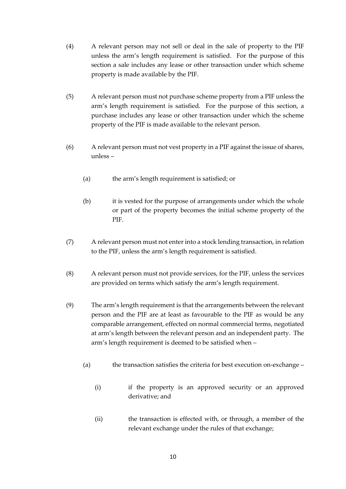- (4) A relevant person may not sell or deal in the sale of property to the PIF unless the arm's length requirement is satisfied. For the purpose of this section a sale includes any lease or other transaction under which scheme property is made available by the PIF.
- (5) A relevant person must not purchase scheme property from a PIF unless the arm's length requirement is satisfied. For the purpose of this section, a purchase includes any lease or other transaction under which the scheme property of the PIF is made available to the relevant person.
- (6) A relevant person must not vest property in a PIF against the issue of shares, unless –
	- (a) the arm's length requirement is satisfied; or
	- (b) it is vested for the purpose of arrangements under which the whole or part of the property becomes the initial scheme property of the PIF.
- (7) A relevant person must not enter into a stock lending transaction, in relation to the PIF, unless the arm's length requirement is satisfied.
- (8) A relevant person must not provide services, for the PIF, unless the services are provided on terms which satisfy the arm's length requirement.
- (9) The arm's length requirement is that the arrangements between the relevant person and the PIF are at least as favourable to the PIF as would be any comparable arrangement, effected on normal commercial terms, negotiated at arm's length between the relevant person and an independent party. The arm's length requirement is deemed to be satisfied when –
	- (a) the transaction satisfies the criteria for best execution on-exchange
		- (i) if the property is an approved security or an approved derivative; and
		- (ii) the transaction is effected with, or through, a member of the relevant exchange under the rules of that exchange;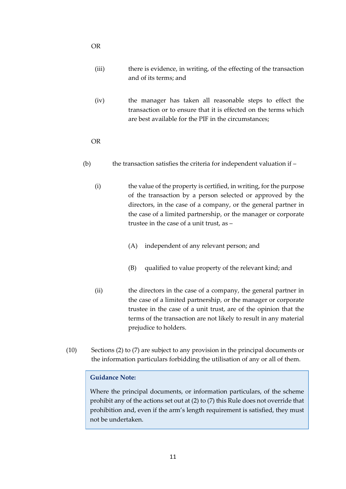- (iii) there is evidence, in writing, of the effecting of the transaction and of its terms; and
- (iv) the manager has taken all reasonable steps to effect the transaction or to ensure that it is effected on the terms which are best available for the PIF in the circumstances;
- OR
- (b) the transaction satisfies the criteria for independent valuation if
	- (i) the value of the property is certified, in writing, for the purpose of the transaction by a person selected or approved by the directors, in the case of a company, or the general partner in the case of a limited partnership, or the manager or corporate trustee in the case of a unit trust, as –
		- (A) independent of any relevant person; and
		- (B) qualified to value property of the relevant kind; and
	- (ii) the directors in the case of a company, the general partner in the case of a limited partnership, or the manager or corporate trustee in the case of a unit trust, are of the opinion that the terms of the transaction are not likely to result in any material prejudice to holders.
- (10) Sections (2) to (7) are subject to any provision in the principal documents or the information particulars forbidding the utilisation of any or all of them.

#### **Guidance Note:**

Where the principal documents, or information particulars, of the scheme prohibit any of the actions set out at (2) to (7) this Rule does not override that prohibition and, even if the arm's length requirement is satisfied, they must not be undertaken.

OR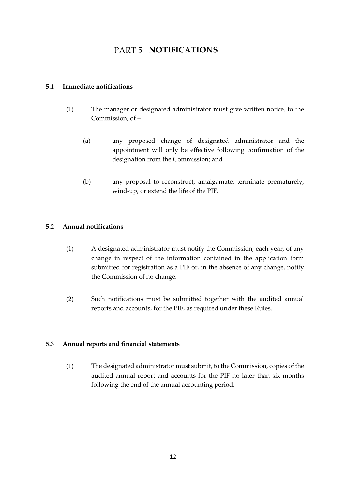## PART 5 **NOTIFICATIONS**

#### <span id="page-11-1"></span><span id="page-11-0"></span>**5.1 Immediate notifications**

- (1) The manager or designated administrator must give written notice, to the Commission, of –
	- (a) any proposed change of designated administrator and the appointment will only be effective following confirmation of the designation from the Commission; and
	- (b) any proposal to reconstruct, amalgamate, terminate prematurely, wind-up, or extend the life of the PIF.

#### <span id="page-11-2"></span>**5.2 Annual notifications**

- (1) A designated administrator must notify the Commission, each year, of any change in respect of the information contained in the application form submitted for registration as a PIF or, in the absence of any change, notify the Commission of no change.
- (2) Such notifications must be submitted together with the audited annual reports and accounts, for the PIF, as required under these Rules.

#### <span id="page-11-3"></span>**5.3 Annual reports and financial statements**

(1) The designated administrator must submit, to the Commission, copies of the audited annual report and accounts for the PIF no later than six months following the end of the annual accounting period.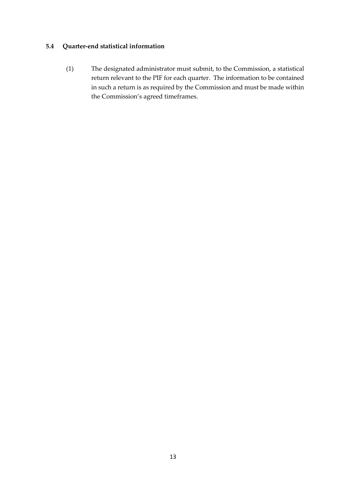#### <span id="page-12-0"></span>**5.4 Quarter-end statistical information**

(1) The designated administrator must submit, to the Commission, a statistical return relevant to the PIF for each quarter. The information to be contained in such a return is as required by the Commission and must be made within the Commission's agreed timeframes.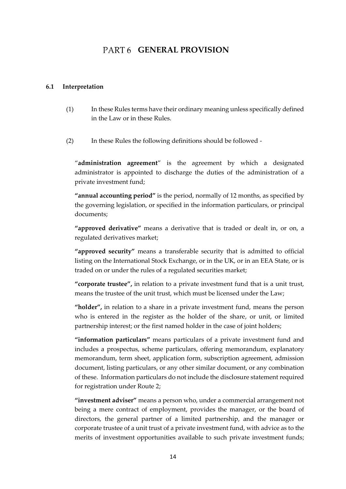## PART6 **GENERAL PROVISION**

#### <span id="page-13-1"></span><span id="page-13-0"></span>**6.1 Interpretation**

(1) In these Rules terms have their ordinary meaning unless specifically defined in the Law or in these Rules.

(2) In these Rules the following definitions should be followed -

"**administration agreement**" is the agreement by which a designated administrator is appointed to discharge the duties of the administration of a private investment fund;

**"annual accounting period"** is the period, normally of 12 months, as specified by the governing legislation, or specified in the information particulars, or principal documents;

**"approved derivative"** means a derivative that is traded or dealt in, or on, a regulated derivatives market;

**"approved security"** means a transferable security that is admitted to official listing on the International Stock Exchange, or in the UK, or in an EEA State, or is traded on or under the rules of a regulated securities market;

**"corporate trustee",** in relation to a private investment fund that is a unit trust, means the trustee of the unit trust, which must be licensed under the Law;

**"holder",** in relation to a share in a private investment fund, means the person who is entered in the register as the holder of the share, or unit, or limited partnership interest; or the first named holder in the case of joint holders;

**"information particulars"** means particulars of a private investment fund and includes a prospectus, scheme particulars, offering memorandum, explanatory memorandum, term sheet, application form, subscription agreement, admission document, listing particulars, or any other similar document, or any combination of these. Information particulars do not include the disclosure statement required for registration under Route 2;

**"investment adviser"** means a person who, under a commercial arrangement not being a mere contract of employment, provides the manager, or the board of directors, the general partner of a limited partnership, and the manager or corporate trustee of a unit trust of a private investment fund, with advice as to the merits of investment opportunities available to such private investment funds;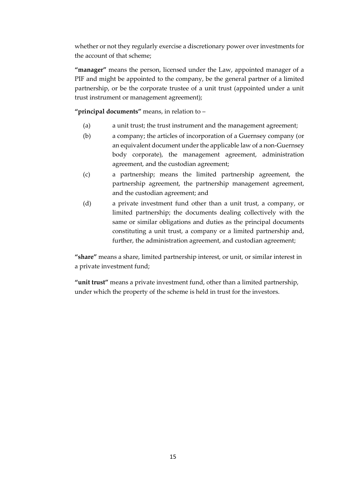whether or not they regularly exercise a discretionary power over investments for the account of that scheme;

**"manager"** means the person, licensed under the Law, appointed manager of a PIF and might be appointed to the company, be the general partner of a limited partnership, or be the corporate trustee of a unit trust (appointed under a unit trust instrument or management agreement);

**"principal documents"** means, in relation to –

- (a) a unit trust; the trust instrument and the management agreement;
- (b) a company; the articles of incorporation of a Guernsey company (or an equivalent document under the applicable law of a non-Guernsey body corporate), the management agreement, administration agreement, and the custodian agreement;
- (c) a partnership; means the limited partnership agreement, the partnership agreement, the partnership management agreement, and the custodian agreement; and
- (d) a private investment fund other than a unit trust, a company, or limited partnership; the documents dealing collectively with the same or similar obligations and duties as the principal documents constituting a unit trust, a company or a limited partnership and, further, the administration agreement, and custodian agreement;

**"share"** means a share, limited partnership interest, or unit, or similar interest in a private investment fund;

**"unit trust"** means a private investment fund, other than a limited partnership, under which the property of the scheme is held in trust for the investors.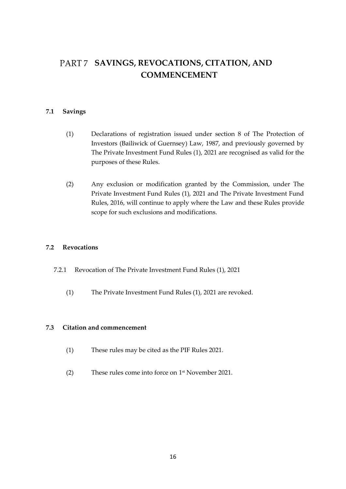## <span id="page-15-0"></span>**SAVINGS, REVOCATIONS, CITATION, AND COMMENCEMENT**

#### <span id="page-15-1"></span>**7.1 Savings**

- (1) Declarations of registration issued under section 8 of The Protection of Investors (Bailiwick of Guernsey) Law, 1987, and previously governed by The Private Investment Fund Rules (1), 2021 are recognised as valid for the purposes of these Rules.
- (2) Any exclusion or modification granted by the Commission, under The Private Investment Fund Rules (1), 2021 and The Private Investment Fund Rules, 2016, will continue to apply where the Law and these Rules provide scope for such exclusions and modifications.

#### <span id="page-15-2"></span>**7.2 Revocations**

- 7.2.1 Revocation of The Private Investment Fund Rules (1), 2021
	- (1) The Private Investment Fund Rules (1), 2021 are revoked.

#### <span id="page-15-3"></span>**7.3 Citation and commencement**

- (1) These rules may be cited as the PIF Rules 2021.
- (2) These rules come into force on 1 st November 2021.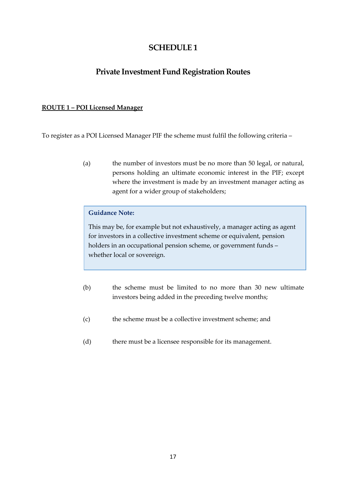## **SCHEDULE 1**

## **Private Investment Fund Registration Routes**

#### **ROUTE 1 – POI Licensed Manager**

To register as a POI Licensed Manager PIF the scheme must fulfil the following criteria –

(a) the number of investors must be no more than 50 legal, or natural, persons holding an ultimate economic interest in the PIF; except where the investment is made by an investment manager acting as agent for a wider group of stakeholders;

#### **Guidance Note:**

This may be, for example but not exhaustively, a manager acting as agent for investors in a collective investment scheme or equivalent, pension holders in an occupational pension scheme, or government funds – whether local or sovereign.

- (b) the scheme must be limited to no more than 30 new ultimate investors being added in the preceding twelve months;
- (c) the scheme must be a collective investment scheme; and
- (d) there must be a licensee responsible for its management.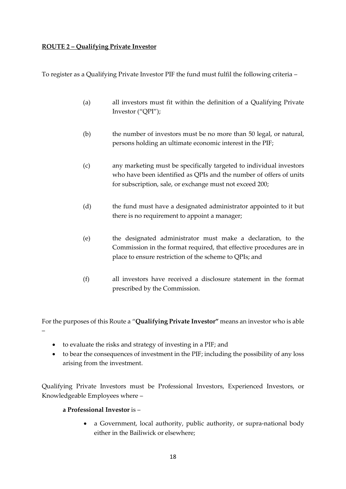#### **ROUTE 2 – Qualifying Private Investor**

To register as a Qualifying Private Investor PIF the fund must fulfil the following criteria –

- (a) all investors must fit within the definition of a Qualifying Private Investor ("QPI");
- (b) the number of investors must be no more than 50 legal, or natural, persons holding an ultimate economic interest in the PIF;
- (c) any marketing must be specifically targeted to individual investors who have been identified as QPIs and the number of offers of units for subscription, sale, or exchange must not exceed 200;
- (d) the fund must have a designated administrator appointed to it but there is no requirement to appoint a manager;
- (e) the designated administrator must make a declaration, to the Commission in the format required, that effective procedures are in place to ensure restriction of the scheme to QPIs; and
- (f) all investors have received a disclosure statement in the format prescribed by the Commission.

For the purposes of this Route a "**Qualifying Private Investor"** means an investor who is able –

- to evaluate the risks and strategy of investing in a PIF; and
- to bear the consequences of investment in the PIF; including the possibility of any loss arising from the investment.

Qualifying Private Investors must be Professional Investors, Experienced Investors, or Knowledgeable Employees where –

#### **a Professional Investor** is –

• a Government, local authority, public authority, or supra-national body either in the Bailiwick or elsewhere;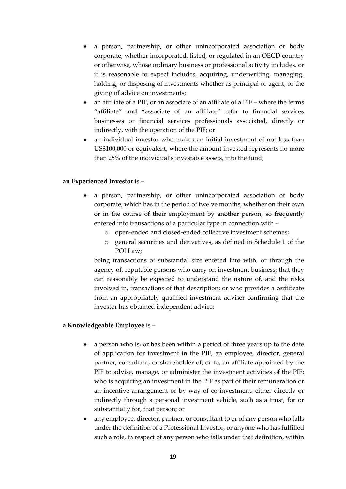- a person, partnership, or other unincorporated association or body corporate, whether incorporated, listed, or regulated in an OECD country or otherwise, whose ordinary business or professional activity includes, or it is reasonable to expect includes, acquiring, underwriting, managing, holding, or disposing of investments whether as principal or agent; or the giving of advice on investments;
- an affiliate of a PIF, or an associate of an affiliate of a PIF where the terms "affiliate" and "associate of an affiliate" refer to financial services businesses or financial services professionals associated, directly or indirectly, with the operation of the PIF; or
- an individual investor who makes an initial investment of not less than US\$100,000 or equivalent, where the amount invested represents no more than 25% of the individual's investable assets, into the fund;

#### **an Experienced Investor** is –

- a person, partnership, or other unincorporated association or body corporate, which has in the period of twelve months, whether on their own or in the course of their employment by another person, so frequently entered into transactions of a particular type in connection with –
	- o open-ended and closed-ended collective investment schemes;
	- o general securities and derivatives, as defined in Schedule 1 of the POI Law;

being transactions of substantial size entered into with, or through the agency of, reputable persons who carry on investment business; that they can reasonably be expected to understand the nature of, and the risks involved in, transactions of that description; or who provides a certificate from an appropriately qualified investment adviser confirming that the investor has obtained independent advice;

#### **a Knowledgeable Employee** is –

- a person who is, or has been within a period of three years up to the date of application for investment in the PIF, an employee, director, general partner, consultant, or shareholder of, or to, an affiliate appointed by the PIF to advise, manage, or administer the investment activities of the PIF; who is acquiring an investment in the PIF as part of their remuneration or an incentive arrangement or by way of co-investment, either directly or indirectly through a personal investment vehicle, such as a trust, for or substantially for, that person; or
- any employee, director, partner, or consultant to or of any person who falls under the definition of a Professional Investor, or anyone who has fulfilled such a role, in respect of any person who falls under that definition, within